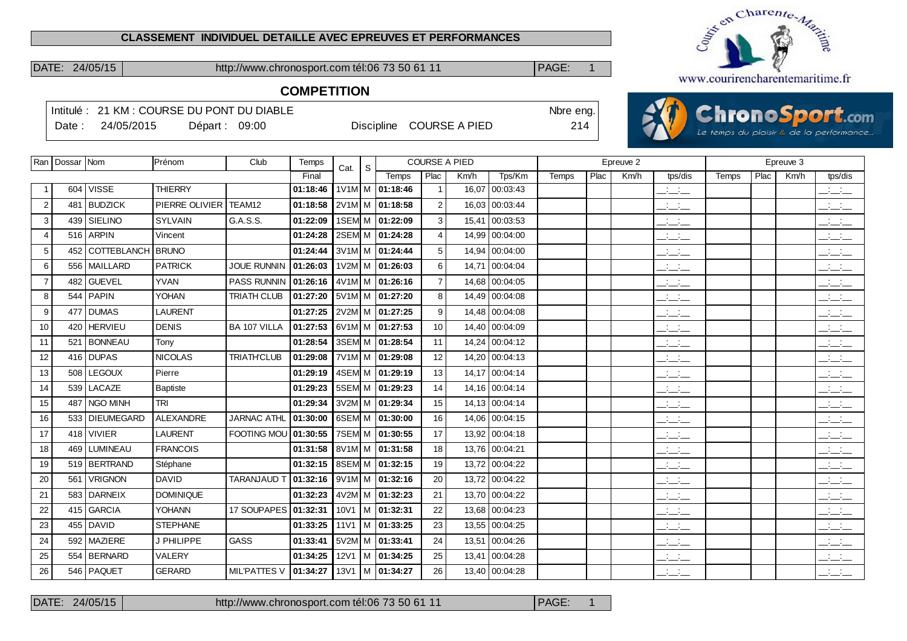#### **CLASSEMENT INDIVIDUEL DETAILLE AVEC EPREUVES ET PERFORMANCES**

DATE: 24/05/15 http://www.chronosport.com tél:06 73 50 61 11 **PAGE: 1** 



# **COMPETITION**

|                |                    |                   | Intitulé: 21 KM : COURSE DU PONT DU DIABLE |                     |          |      |   |                                    |                  |                      |                | Nbre eng. |      |           |                                                       |       |      |           | <b>ChronoSport.com</b>                  |  |
|----------------|--------------------|-------------------|--------------------------------------------|---------------------|----------|------|---|------------------------------------|------------------|----------------------|----------------|-----------|------|-----------|-------------------------------------------------------|-------|------|-----------|-----------------------------------------|--|
|                | Date:              | 24/05/2015        |                                            | Départ: 09:00       |          |      |   | Discipline COURSE A PIED           |                  |                      |                | 214       |      |           |                                                       |       |      |           | Le temps du plaisir & de la performance |  |
|                | Ran   Dossar   Nom |                   | Prénom                                     | Club                | Temps    |      |   |                                    |                  | <b>COURSE A PIED</b> |                |           |      | Epreuve 2 |                                                       |       |      | Epreuve 3 |                                         |  |
|                |                    |                   |                                            |                     | Final    | Cat. | S | Temps                              | Plac             | Km/h                 | Tps/Km         | Temps     | Plac | Km/h      | tps/dis                                               | Temps | Plac | Km/h      | tps/dis                                 |  |
|                |                    | 604   VISSE       | <b>THIERRY</b>                             |                     | 01:18:46 |      |   | 1V1M M 01:18:46                    | $\mathbf{1}$     |                      | 16,07 00:03:43 |           |      |           | $\overline{\phantom{a}}$                              |       |      |           | $\frac{1}{2}$                           |  |
| $\overline{2}$ | 481                | <b>BUDZICK</b>    | PIERRE OLIVIER                             | TEAM12              | 01:18:58 |      |   | 2V1M M 01:18:58                    | $\boldsymbol{2}$ |                      | 16,03 00:03:44 |           |      |           | $\frac{1}{2}$                                         |       |      |           | للتحليل                                 |  |
| 3              | 439                | SIELINO           | <b>SYLVAIN</b>                             | G.A.S.S.            | 01:22:09 |      |   | 1SEM M 01:22:09                    | 3                | 15,41                | 00:03:53       |           |      |           | $\overline{\phantom{a}}$                              |       |      |           | <b>Contract</b><br>$  -$                |  |
| $\overline{4}$ |                    | 516 ARPIN         | Vincent                                    |                     | 01:24:28 |      |   | 2SEM M 01:24:28                    | $\overline{4}$   |                      | 14,99 00:04:00 |           |      |           | $\frac{1}{2}$ and $\frac{1}{2}$                       |       |      |           | $\overline{\phantom{a}}$                |  |
| 5              | 452                | COTTEBLANCH BRUNO |                                            |                     | 01:24:44 |      |   | 3V <sub>1M</sub> M <b>01:24:44</b> | 5                | 14,94                | 00:04:00       |           |      |           | $  -$                                                 |       |      |           | $\frac{1}{2}$                           |  |
| 6              |                    | 556   MAILLARD    | <b>PATRICK</b>                             | <b>JOUE RUNNIN</b>  | 01:26:03 |      |   | $1V2M$ M $ 01:26:03$               | 6                | 14,71                | 00:04:04       |           |      |           | $\frac{1}{2}$ and $\frac{1}{2}$                       |       |      |           | للأسائل                                 |  |
| $\overline{7}$ |                    | 482 GUEVEL        | <b>YVAN</b>                                | PASS RUNNIN         | 01:26:16 |      |   | 4V1M M 01:26:16                    | $\overline{7}$   |                      | 14.68 00:04:05 |           |      |           | $\frac{1}{2}$                                         |       |      |           | $\frac{1}{2}$                           |  |
| 8              | 544                | <b>PAPIN</b>      | YOHAN                                      | <b>TRIATH CLUB</b>  | 01:27:20 |      |   | $5V1M$ M $ 01:27:20$               | 8                |                      | 14,49 00:04:08 |           |      |           | $  -$                                                 |       |      |           | $\frac{1}{2}$ and $\frac{1}{2}$         |  |
| 9              | 477                | <b>DUMAS</b>      | <b>LAURENT</b>                             |                     | 01:27:25 |      |   | 2V2M M 01:27:25                    | 9                |                      | 14,48 00:04:08 |           |      |           | $\overline{\phantom{a}}$                              |       |      |           | $\mathbb{R}$ and $\mathbb{R}$           |  |
| 10             | 420                | <b>HERVIEU</b>    | <b>DENIS</b>                               | BA 107 VILLA        | 01:27:53 |      |   | 6V1M M 01:27:53                    | 10               |                      | 14,40 00:04:09 |           |      |           | $\overline{\phantom{a}}$ and $\overline{\phantom{a}}$ |       |      |           | للمناصب                                 |  |
| 11             | 521                | <b>BONNEAU</b>    | Tony                                       |                     | 01:28:54 |      |   | 3SEM M 01:28:54                    | 11               |                      | 14,24 00:04:12 |           |      |           | $ -$                                                  |       |      |           | $\frac{1}{2}$ and $\frac{1}{2}$         |  |
| 12             |                    | 416 DUPAS         | <b>NICOLAS</b>                             | <b>TRIATH'CLUB</b>  | 01:29:08 |      |   | 7V1M M 01:29:08                    | 12               |                      | 14,20 00:04:13 |           |      |           | $\overline{\phantom{a}}$                              |       |      |           | $\overline{\phantom{a}}$                |  |
| 13             | 508 <sub>1</sub>   | <b>LEGOUX</b>     | Pierre                                     |                     | 01:29:19 |      |   | 4SEM M 01:29:19                    | 13               |                      | 14.17 00:04:14 |           |      |           | $\overline{\phantom{a}}$ and $\overline{\phantom{a}}$ |       |      |           | للمناصب                                 |  |
| 14             |                    | 539 LACAZE        | <b>Baptiste</b>                            |                     | 01:29:23 |      |   | 5SEM M 01:29:23                    | 14               |                      | 14,16 00:04:14 |           |      |           | للأسائل                                               |       |      |           | بالأسائد                                |  |
| 15             | 487                | NGO MINH          | TRI                                        |                     | 01:29:34 |      |   | 3V2M M 01:29:34                    | 15               |                      | 14,13 00:04:14 |           |      |           | $\frac{1}{2}$ and $\frac{1}{2}$                       |       |      |           | $\mathbb{R}$ and $\mathbb{R}$           |  |
| 16             |                    | 533   DIEUMEGARD  | ALEXANDRE                                  | <b>JARNAC ATHL</b>  | 01:30:00 |      |   | 6SEM M 01:30:00                    | 16               |                      | 14,06 00:04:15 |           |      |           | $\overline{\phantom{a}}$                              |       |      |           | $\overline{\phantom{a}}$                |  |
| 17             |                    | 418 VIVIER        | <b>LAURENT</b>                             | FOOTING MOU         | 01:30:55 |      |   | 7SEM M 01:30:55                    | 17               |                      | 13,92 00:04:18 |           |      |           | $\frac{1}{2}$                                         |       |      |           | $\overline{\phantom{a}}$                |  |
| 18             | 469                | <b>LUMINEAU</b>   | <b>FRANCOIS</b>                            |                     | 01:31:58 |      |   | 8V1M M 01:31:58                    | 18               |                      | 13,76 00:04:21 |           |      |           | $\frac{1}{2}$ and $\frac{1}{2}$                       |       |      |           | $\mathbb{R}$ and $\mathbb{R}$           |  |
| 19             |                    | 519 BERTRAND      | Stéphane                                   |                     | 01:32:15 |      |   | 8SEM M 01:32:15                    | 19               |                      | 13,72 00:04:22 |           |      |           | $\overline{\phantom{a}}$                              |       |      |           | للأسائل                                 |  |
| 20             | 561                | <b>VRIGNON</b>    | <b>DAVID</b>                               | <b>TARANJAUD</b>    | 01:32:16 |      |   | $9V1M$ M $ 01:32:16$               | 20               |                      | 13,72 00:04:22 |           |      |           | $\frac{1}{2}$ and $\frac{1}{2}$                       |       |      |           | $\overline{\phantom{a}}$                |  |
| 21             | 583                | DARNEIX           | <b>DOMINIQUE</b>                           |                     | 01:32:23 |      |   | $4V2M$ M $ 01:32:23$               | 21               |                      | 13,70 00:04:22 |           |      |           | $\overline{\phantom{a}}$                              |       |      |           | $\overline{\phantom{a}}$                |  |
| 22             | 415                | <b>GARCIA</b>     | <b>YOHANN</b>                              | 17 SOUPAPES         | 01:32:31 |      |   | 10V1 M 01:32:31                    | 22               |                      | 13.68 00:04:23 |           |      |           | $\frac{1}{2}$                                         |       |      |           | <b>Service</b><br>$  -$                 |  |
| 23             | 455                | <b>DAVID</b>      | <b>STEPHANE</b>                            |                     | 01:33:25 |      |   | 11V1   M   01:33:25                | 23               |                      | 13,55 00:04:25 |           |      |           | $ -$                                                  |       |      |           | للأسائل                                 |  |
| 24             |                    | 592   MAZIERE     | J PHILIPPE                                 | GASS                | 01:33:41 |      |   | 5V2M M 01:33:41                    | 24               |                      | 13,51 00:04:26 |           |      |           | $\overline{\phantom{a}}$                              |       |      |           | $\overline{\phantom{a}}$                |  |
| 25             | 554                | BERNARD           | VALERY                                     |                     | 01:34:25 |      |   | 12V1 M 01:34:25                    | 25               |                      | 13,41 00:04:28 |           |      |           | $\frac{1}{2}$ and $\frac{1}{2}$                       |       |      |           | $\frac{1}{2}$ and $\frac{1}{2}$         |  |
| 26             |                    | 546   PAQUET      | <b>GERARD</b>                              | <b>MIL'PATTES V</b> | 01:34:27 |      |   | 13V1   M   01:34:27                | 26               |                      | 13,40 00:04:28 |           |      |           | $\frac{1}{2}$ and $\frac{1}{2}$                       |       |      |           | $\frac{1}{2}$                           |  |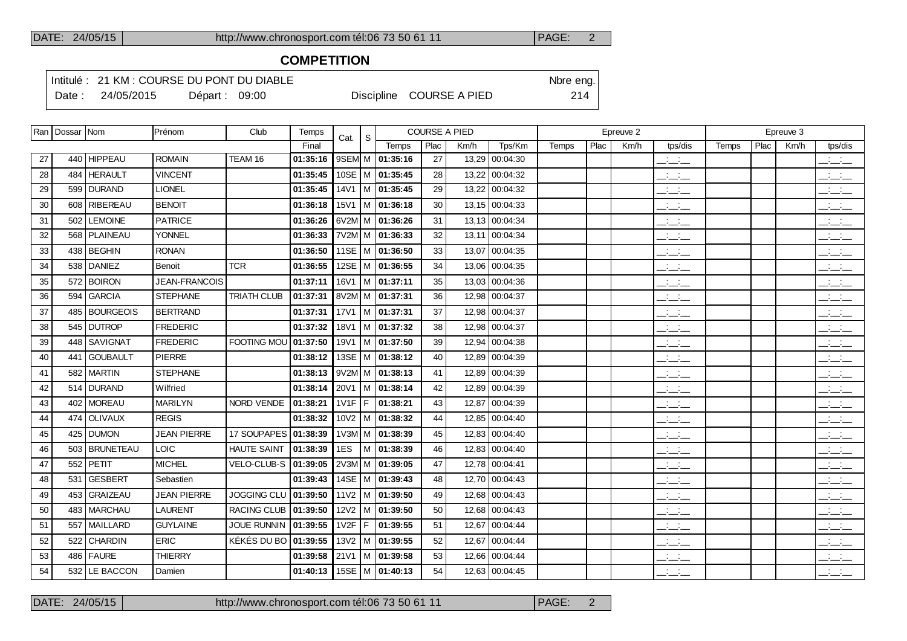## **COMPETITION**

Intitulé : 21 KM : COURSE DU PONT DU DIABLE Note that the state of the SN of the eng.

Date : 24/05/2015 Départ : 09:00 Discipline COURSE A PIED 214

|    | Ran   Dossar   Nom |                 | Prénom             | Club                   | Temps    | Cat. | S. |                                |      | <b>COURSE A PIED</b> |                |              |      | Epreuve 2 |                                   |       |      | Epreuve 3 |                                                   |
|----|--------------------|-----------------|--------------------|------------------------|----------|------|----|--------------------------------|------|----------------------|----------------|--------------|------|-----------|-----------------------------------|-------|------|-----------|---------------------------------------------------|
|    |                    |                 |                    |                        | Final    |      |    | Temps                          | Plac | Km/h                 | Tps/Km         | <b>Temps</b> | Plac | Km/h      | tps/dis                           | Temps | Plac | Km/h      | tps/dis                                           |
| 27 | 440                | <b>HIPPEAU</b>  | <b>ROMAIN</b>      | TEAM 16                | 01:35:16 |      |    | 9SEM M 01:35:16                | 27   |                      | 13,29 00:04:30 |              |      |           | $\mathbb{Z}$ and $\mathbb{Z}$     |       |      |           | للأسائل                                           |
| 28 | 484                | <b>HERAULT</b>  | <b>VINCENT</b>     |                        | 01:35:45 |      |    | 10SE   M   01:35:45            | 28   |                      | 13,22 00:04:32 |              |      |           | $\frac{1}{2}$ and $\frac{1}{2}$   |       |      |           | $\frac{1}{2}$ $\frac{1}{2}$ $\frac{1}{2}$         |
| 29 | 599                | <b>DURAND</b>   | <b>LIONEL</b>      |                        | 01:35:45 |      |    | $14V1$ M $\overline{01:35:45}$ | 29   |                      | 13,22 00:04:32 |              |      |           | $\frac{1}{2}$ and $\frac{1}{2}$   |       |      |           | $\frac{1}{2}$ and $\frac{1}{2}$                   |
| 30 | 608                | <b>RIBEREAU</b> | <b>BENOIT</b>      |                        | 01:36:18 |      |    | $15V1$   M   01:36:18          | 30   |                      | 13,15 00:04:33 |              |      |           | $ -$                              |       |      |           | $  -$                                             |
| 31 | 502                | <b>LEMOINE</b>  | <b>PATRICE</b>     |                        | 01:36:26 |      |    | 6V2M M 01:36:26                | 31   |                      | 13,13 00:04:34 |              |      |           | $ -$                              |       |      |           | $-1$                                              |
| 32 |                    | 568 PLAINEAU    | <b>YONNEL</b>      |                        | 01:36:33 |      |    | 7V2M M 01:36:33                | 32   |                      | 13,11 00:04:34 |              |      |           | $\mathcal{L} = \mathcal{L}$       |       |      |           | <b>Contractor</b><br>$  -$                        |
| 33 |                    | 438   BEGHIN    | <b>RONAN</b>       |                        | 01:36:50 |      |    | 11SE   M   01:36:50            | 33   |                      | 13,07 00:04:35 |              |      |           | $\mathbb{Z}$ and $\mathbb{Z}$     |       |      |           | $\overline{\phantom{a}}$                          |
| 34 | 538                | DANIEZ          | Benoit             | <b>TCR</b>             | 01:36:55 |      |    | 12SE   M   01:36:55            | 34   |                      | 13,06 00:04:35 |              |      |           | $ -$                              |       |      |           | $\overline{\phantom{a}}$                          |
| 35 |                    | 572 BOIRON      | JEAN-FRANCOIS      |                        | 01:37:11 |      |    | 16V1   M $ 01:37:11$           | 35   |                      | 13,03 00:04:36 |              |      |           | <b>Contract Contract</b><br>$  -$ |       |      |           | $\frac{1}{2}$ and $\frac{1}{2}$                   |
| 36 | 594                | <b>GARCIA</b>   | <b>STEPHANE</b>    | <b>TRIATH CLUB</b>     | 01:37:31 |      |    | 8V2M M 01:37:31                | 36   |                      | 12,98 00:04:37 |              |      |           | للأسائل                           |       |      |           | $\mathbb{R}$ and $\mathbb{R}$                     |
| 37 |                    | 485   BOURGEOIS | <b>BERTRAND</b>    |                        | 01:37:31 |      |    | $17V1$   M   01:37:31          | 37   |                      | 12,98 00:04:37 |              |      |           | <b>Contract</b><br>$  -$          |       |      |           | $\frac{1}{2}$                                     |
| 38 |                    | 545 DUTROP      | <b>FREDERIC</b>    |                        | 01:37:32 | 18V1 |    | M 01:37:32                     | 38   |                      | 12,98 00:04:37 |              |      |           | $  -$                             |       |      |           | للأسائل                                           |
| 39 |                    | 448 SAVIGNAT    | <b>FREDERIC</b>    | FOOTING MOU 01:37:50   |          |      |    | 19V1   M $ 01:37:50$           | 39   |                      | 12,94 00:04:38 |              |      |           | <b>Contract</b><br>$  -$          |       |      |           | $  -$                                             |
| 40 |                    | 441 GOUBAULT    | <b>PIERRE</b>      |                        | 01:38:12 |      |    | 13SE   M   01:38:12            | 40   |                      | 12.89 00:04:39 |              |      |           | <b>Contract Contract</b><br>$  -$ |       |      |           | <b>Contract Contract</b><br>$  -$                 |
| 41 |                    | 582 MARTIN      | <b>STEPHANE</b>    |                        | 01:38:13 |      |    | $9V2M$ M $ 01:38:13$           | 41   |                      | 12,89 00:04:39 |              |      |           | <b>Contract Contract</b><br>$  -$ |       |      |           | للتناشي                                           |
| 42 | 514                | <b>DURAND</b>   | Wilfried           |                        | 01:38:14 | 20V1 |    | M 01:38:14                     | 42   |                      | 12,89 00:04:39 |              |      |           | $  -$                             |       |      |           | سأستأنث                                           |
| 43 |                    | 402 MOREAU      | <b>MARILYN</b>     | <b>NORD VENDE</b>      | 01:38:21 |      |    | $1V1F$   $F$   01:38:21        | 43   |                      | 12,87 00:04:39 |              |      |           | للمناصب                           |       |      |           | $\frac{1}{2}$                                     |
| 44 | 474                | <b>OLIVAUX</b>  | <b>REGIS</b>       |                        | 01:38:32 |      |    | $10\sqrt{2}$   M   01:38:32    | 44   |                      | 12,85 00:04:40 |              |      |           | $\overline{\phantom{a}}$          |       |      |           | للمناصب                                           |
| 45 |                    | 425 DUMON       | <b>JEAN PIERRE</b> | 17 SOUPAPES 01:38:39   |          |      |    | $1 \vee 3M$ M $\big  01:38:39$ | 45   |                      | 12.83 00:04:40 |              |      |           | للمناصب                           |       |      |           | $\frac{1}{2}$ and $\frac{1}{2}$                   |
| 46 | 503                | BRUNETEAU       | <b>LOIC</b>        | <b>HAUTE SAINT</b>     | 01:38:39 | 1ES  |    | M 01:38:39                     | 46   |                      | 12,83 00:04:40 |              |      |           | $\overline{\phantom{a}}$          |       |      |           | $\overline{\phantom{a}}$ $\overline{\phantom{a}}$ |
| 47 | 552                | <b>PETIT</b>    | <b>MICHEL</b>      | VELO-CLUB-S   01:39:05 |          |      |    | 2V3M M 01:39:05                | 47   |                      | 12,78 00:04:41 |              |      |           | $\mathcal{L} = \mathcal{L}$       |       |      |           |                                                   |
| 48 | 531                | <b>GESBERT</b>  | Sebastien          |                        | 01:39:43 |      |    | 14SE   M   01:39:43            | 48   |                      | 12,70 00:04:43 |              |      |           | $ -$                              |       |      |           | $\frac{1}{2}$ and $\frac{1}{2}$                   |
| 49 |                    | 453 GRAIZEAU    | <b>JEAN PIERRE</b> | JOGGING CLU   01:39:50 |          |      |    | $11V2$   M   01:39:50          | 49   |                      | 12,68 00:04:43 |              |      |           | $ -$                              |       |      |           | $\overline{\phantom{a}}$                          |
| 50 | 483                | <b>MARCHAU</b>  | <b>LAURENT</b>     | RACING CLUB   01:39:50 |          |      |    | $12V2$ M $ 01:39:50$           | 50   |                      | 12,68 00:04:43 |              |      |           | $\overline{\phantom{a}}$          |       |      |           | بالبياني                                          |
| 51 | 557                | <b>MAILLARD</b> | <b>GUYLAINE</b>    | JOUE RUNNIN   01:39:55 |          |      |    | 1V2F F 01:39:55                | 51   |                      | 12,67 00:04:44 |              |      |           | <b>Contract</b><br>$  -$          |       |      |           | <b>Contract</b>                                   |
| 52 | 522                | <b>CHARDIN</b>  | <b>ERIC</b>        | KÉKÉS DU BO 01:39:55   |          |      |    | $13V2$   M   01:39:55          | 52   |                      | 12,67 00:04:44 |              |      |           | $\overline{\phantom{a}}$          |       |      |           | $\frac{1}{2}$ $\frac{1}{2}$ $\frac{1}{2}$         |
| 53 |                    | 486   FAURE     | <b>THIERRY</b>     |                        | 01:39:58 |      |    | 21V1   M   01:39:58            | 53   |                      | 12,66 00:04:44 |              |      |           | $\frac{1}{2}$ and $\frac{1}{2}$   |       |      |           | $\overline{\phantom{a}}$ $\overline{\phantom{a}}$ |
| 54 |                    | 532 LE BACCON   | Damien             |                        | 01:40:13 |      |    | 15SE M 01:40:13                | 54   |                      | 12,63 00:04:45 |              |      |           | $\overline{\phantom{a}}$          |       |      |           | $\frac{1}{2}$ and $\frac{1}{2}$                   |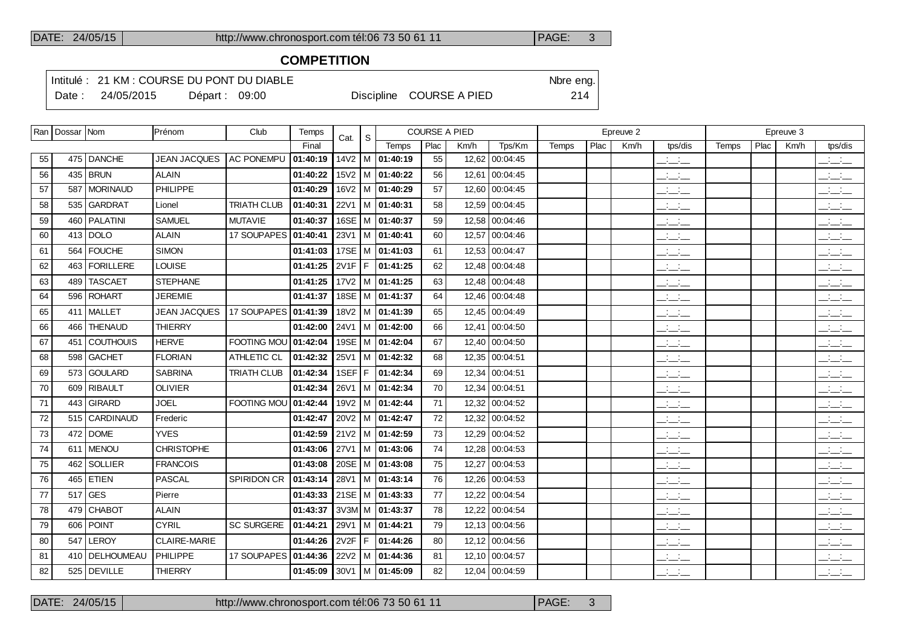## **COMPETITION**

Intitulé : 21 KM : COURSE DU PONT DU DIABLE Note that the state of the SN of the eng.

Date : 24/05/2015 Départ : 09:00 Discipline COURSE A PIED 214

|    | Ran   Dossar   Nom |                  | Prénom              | Club                 | Temps    | Cat. | S |                             | <b>COURSE A PIED</b> |      |                |       |      | Epreuve 2 |                                 |       |      | Epreuve 3 |                                                   |
|----|--------------------|------------------|---------------------|----------------------|----------|------|---|-----------------------------|----------------------|------|----------------|-------|------|-----------|---------------------------------|-------|------|-----------|---------------------------------------------------|
|    |                    |                  |                     |                      | Final    |      |   | Temps                       | Plac                 | Km/h | Tps/Km         | Temps | Plac | Km/h      | tps/dis                         | Temps | Plac | Km/h      | tps/dis                                           |
| 55 |                    | 475 DANCHE       | <b>JEAN JACQUES</b> | <b>AC PONEMPU</b>    | 01:40:19 |      |   | 14V2   M   01:40:19         | 55                   |      | 12,62 00:04:45 |       |      |           | $\mathbb{R}$ and $\mathbb{R}$   |       |      |           | $\frac{1}{2}$ $\frac{1}{2}$ $\frac{1}{2}$         |
| 56 |                    | 435   BRUN       | <b>ALAIN</b>        |                      | 01:40:22 |      |   | $15\sqrt{2}$   M   01:40:22 | 56                   |      | 12,61 00:04:45 |       |      |           | $\mathcal{L} = \mathcal{L}$     |       |      |           | $ -$                                              |
| 57 |                    | 587   MORINAUD   | <b>PHILIPPE</b>     |                      | 01:40:29 |      |   | 16V2   M   01:40:29         | 57                   |      | 12,60 00:04:45 |       |      |           | $ -$                            |       |      |           | $ -$                                              |
| 58 |                    | 535 GARDRAT      | Lionel              | <b>TRIATH CLUB</b>   | 01:40:31 |      |   | 22V1   M   01:40:31         | 58                   |      | 12,59 00:04:45 |       |      |           | $\mathcal{L} = \mathcal{L}$     |       |      |           | للأسائل                                           |
| 59 |                    | 460   PALATINI   | <b>SAMUEL</b>       | <b>MUTAVIE</b>       | 01:40:37 |      |   | 16SE   M   01:40:37         | 59                   |      | 12,58 00:04:46 |       |      |           | <b>Contract</b><br>$  -$        |       |      |           | $\mathbb{R}$ and $\mathbb{R}$                     |
| 60 |                    | $413$ DOLO       | <b>ALAIN</b>        | 17 SOUPAPES          | 01:40:41 |      |   | $23V1$   M   01:40:41       | 60                   |      | 12,57 00:04:46 |       |      |           | $\overline{\phantom{a}}$        |       |      |           | $\overline{\phantom{a}}$                          |
| 61 |                    | 564 FOUCHE       | <b>SIMON</b>        |                      | 01:41:03 |      |   | 17SE   M   01:41:03         | 61                   |      | 12,53 00:04:47 |       |      |           | $  -$                           |       |      |           | $\overline{\phantom{a}}$ $\overline{\phantom{a}}$ |
| 62 | 463                | <b>FORILLERE</b> | <b>LOUISE</b>       |                      | 01:41:25 |      |   | 2V1F   F   01:41:25         | 62                   |      | 12.48 00:04:48 |       |      |           | $ -$                            |       |      |           | $\frac{1}{2}$ and $\frac{1}{2}$                   |
| 63 | 489                | <b>TASCAET</b>   | <b>STEPHANE</b>     |                      | 01:41:25 |      |   | $17V2$ M $ 01:41:25$        | 63                   |      | 12,48 00:04:48 |       |      |           | $ -$                            |       |      |           | $\overline{\phantom{a}}$                          |
| 64 | 596                | <b>ROHART</b>    | <b>JEREMIE</b>      |                      | 01:41:37 |      |   | 18SE   M   01:41:37         | 64                   |      | 12,46 00:04:48 |       |      |           | <b>Contract</b><br>$  -$        |       |      |           | $\frac{1}{2}$                                     |
| 65 |                    | 411   MALLET     | <b>JEAN JACQUES</b> | 17 SOUPAPES 01:41:39 |          |      |   | 18V2   M   01:41:39         | 65                   |      | 12.45 00:04:49 |       |      |           | $\frac{1}{2}$ and $\frac{1}{2}$ |       |      |           | للأسائل                                           |
| 66 |                    | 466   THENAUD    | <b>THIERRY</b>      |                      | 01:42:00 |      |   | 24V1   M   01:42:00         | 66                   |      | 12,41 00:04:50 |       |      |           | $\overline{\phantom{a}}$        |       |      |           | $\overline{\phantom{a}}$                          |
| 67 |                    | 451 COUTHOUIS    | <b>HERVE</b>        | FOOTING MOU 01:42:04 |          |      |   | 19SE M 01:42:04             | 67                   |      | 12.40 00:04:50 |       |      |           | $\mathbb{Z}$ and $\mathbb{Z}$   |       |      |           | $\frac{1}{2}$ and $\frac{1}{2}$                   |
| 68 | 598                | <b>GACHET</b>    | <b>FLORIAN</b>      | ATHLETIC CL          | 01:42:32 |      |   | 25V1   M   01:42:32         | 68                   |      | 12,35 00:04:51 |       |      |           | $ -$                            |       |      |           | $ -$                                              |
| 69 |                    | 573 GOULARD      | <b>SABRINA</b>      | <b>TRIATH CLUB</b>   | 01:42:34 |      |   | 1SEF F 01:42:34             | 69                   |      | 12.34 00:04:51 |       |      |           | $  -$                           |       |      |           | للأسائل                                           |
| 70 |                    | 609 RIBAULT      | <b>OLIVIER</b>      |                      | 01:42:34 | 26V1 |   | M 01:42:34                  | 70                   |      | 12,34 00:04:51 |       |      |           | $\mathcal{L} = \mathcal{L}$     |       |      |           | للأسائل                                           |
| 71 |                    | 443 GIRARD       | <b>JOEL</b>         | FOOTING MOU 01:42:44 |          |      |   | 19V2   M $ 01:42:44$        | 71                   |      | 12,32 00:04:52 |       |      |           | <b>Contractor</b><br>$  -$      |       |      |           | <b>Contract Contract</b><br>$  -$                 |
| 72 |                    | 515 CARDINAUD    | Frederic            |                      | 01:42:47 |      |   | 20V2   M   01:42:47         | 72                   |      | 12,32 00:04:52 |       |      |           | $\mathcal{L} = \mathcal{L}$     |       |      |           | بالسائد                                           |
| 73 |                    | 472 DOME         | <b>YVES</b>         |                      | 01:42:59 |      |   | $21V2$ M 01:42:59           | 73                   |      | 12,29 00:04:52 |       |      |           | $\overline{\phantom{a}}$        |       |      |           | للأسائل                                           |
| 74 |                    | 611 MENOU        | <b>CHRISTOPHE</b>   |                      | 01:43:06 |      |   | 27V1   M   01:43:06         | 74                   |      | 12,28 00:04:53 |       |      |           | $ -$                            |       |      |           | للأسائل                                           |
| 75 | 462                | <b>SOLLIER</b>   | <b>FRANCOIS</b>     |                      | 01:43:08 |      |   | 20SE   M   01:43:08         | 75                   |      | 12,27 00:04:53 |       |      |           | <b>Service</b><br>$  -$         |       |      |           | <b>Contract</b><br>$  -$                          |
| 76 |                    | 465 ETIEN        | <b>PASCAL</b>       | SPIRIDON CR          | 01:43:14 |      |   | 28V1   M   01:43:14         | 76                   |      | 12,26 00:04:53 |       |      |           | $\overline{\phantom{a}}$        |       |      |           | $\overline{\phantom{a}}$                          |
| 77 |                    | $517$ GES        | Pierre              |                      | 01:43:33 |      |   | 21SE   M   01:43:33         | 77                   |      | 12,22 00:04:54 |       |      |           | للأسائل                         |       |      |           | $\overline{\phantom{a}}$                          |
| 78 | 479                | <b>CHABOT</b>    | <b>ALAIN</b>        |                      | 01:43:37 |      |   | $3V3M$ M $ 01:43:37$        | 78                   |      | 12,22 00:04:54 |       |      |           | $  -$                           |       |      |           | للأسائل                                           |
| 79 | 606                | <b>POINT</b>     | <b>CYRIL</b>        | <b>SC SURGERE</b>    | 01:44:21 |      |   | 29V1 M 01:44:21             | 79                   |      | 12,13 00:04:56 |       |      |           | <b>Contract</b><br>$  -$        |       |      |           | $\frac{1}{2}$                                     |
| 80 | 547                | LEROY            | CLAIRE-MARIE        |                      | 01:44:26 |      |   | 2V2F   F   01:44:26         | 80                   |      | 12,12 00:04:56 |       |      |           | $ -$                            |       |      |           | $ -$                                              |
| 81 |                    | 410   DELHOUMEAU | PHILIPPE            | 17 SOUPAPES          | 01:44:36 |      |   | 22V2   M   01:44:36         | 81                   |      | 12,10 00:04:57 |       |      |           | $\overline{\phantom{a}}$        |       |      |           | $\overline{\phantom{a}}$ $\overline{\phantom{a}}$ |
| 82 |                    | 525   DEVILLE    | <b>THIERRY</b>      |                      | 01:45:09 |      |   | 30V1   M   01:45:09         | 82                   |      | 12,04 00:04:59 |       |      |           | <b>Contract</b><br>---          |       |      |           | $ -$                                              |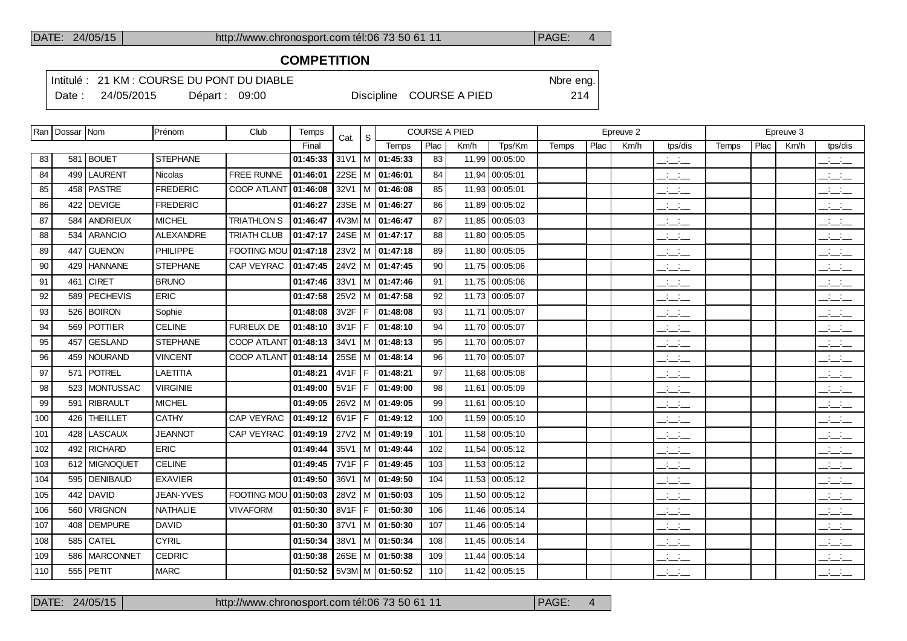## **COMPETITION**

Intitulé : 21 KM : COURSE DU PONT DU DIABLE Note that the state of the SN of the eng.

Date : 24/05/2015 Départ : 09:00 Discipline COURSE A PIED 214

|     | Ran   Dossar   Nom |                 | Prénom          | Club                 | Temps    | Cat.     | <sub>S</sub> |                                |      | <b>COURSE A PIED</b> |                |       |      | Epreuve 2 |                                   |       |      | Epreuve 3 |                                                   |
|-----|--------------------|-----------------|-----------------|----------------------|----------|----------|--------------|--------------------------------|------|----------------------|----------------|-------|------|-----------|-----------------------------------|-------|------|-----------|---------------------------------------------------|
|     |                    |                 |                 |                      | Final    |          |              | Temps                          | Plac | Km/h                 | Tps/Km         | Temps | Plac | Km/h      | tps/dis                           | Temps | Plac | Km/h      | tps/dis                                           |
| 83  |                    | 581   BOUET     | <b>STEPHANE</b> |                      | 01:45:33 |          |              | $31V1$   M   01:45:33          | 83   |                      | 11,99 00:05:00 |       |      |           | سأسأب                             |       |      |           | $\mathcal{L} = \mathcal{L}$                       |
| 84  |                    | 499 LAURENT     | <b>Nicolas</b>  | FREE RUNNE           | 01:46:01 |          |              | 22SE   M   01:46:01            | 84   |                      | 11,94 00:05:01 |       |      |           | $ -$                              |       |      |           | $\frac{1}{2}$                                     |
| 85  |                    | 458   PASTRE    | <b>FREDERIC</b> | COOP ATLANT 01:46:08 |          |          |              | $32V1$   M   01:46:08          | 85   |                      | 11,93 00:05:01 |       |      |           | سأسأب                             |       |      |           | $\frac{1}{2}$ and $\frac{1}{2}$                   |
| 86  |                    | 422 DEVIGE      | <b>FREDERIC</b> |                      | 01:46:27 |          |              | 23SE   M   01:46:27            | 86   |                      | 11,89 00:05:02 |       |      |           | $ -$                              |       |      |           | $\frac{1}{2}$ and $\frac{1}{2}$                   |
| 87  |                    | 584 ANDRIEUX    | <b>MICHEL</b>   | <b>TRIATHLON S</b>   | 01:46:47 |          |              | 4V3M M 01:46:47                | 87   |                      | 11,85 00:05:03 |       |      |           | $  -$                             |       |      |           | $\overline{\phantom{a}}$                          |
| 88  |                    | 534 ARANCIO     | ALEXANDRE       | <b>TRIATH CLUB</b>   | 01:47:17 |          |              | 24SE   M   01:47:17            | 88   |                      | 11,80 00:05:05 |       |      |           | $ -$                              |       |      |           | $ -$                                              |
| 89  |                    | 447 GUENON      | PHILIPPE        | FOOTING MOU          | 01:47:18 |          |              | $23V2$ M $ 01:47:18$           | 89   |                      | 11,80 00:05:05 |       |      |           | $\overline{\phantom{a}}$          |       |      |           | $\mathbb{R}$ and $\mathbb{R}$                     |
| 90  |                    | 429 HANNANE     | <b>STEPHANE</b> | CAP VEYRAC           | 01:47:45 |          |              | 24V2   M   01:47:45            | 90   |                      | 11,75 00:05:06 |       |      |           | $ -$                              |       |      |           | $\overline{\phantom{a}}$                          |
| 91  |                    | $461$ CIRET     | <b>BRUNO</b>    |                      | 01:47:46 |          |              | $33V1$ M $ 01:47:46$           | 91   |                      | 11,75 00:05:06 |       |      |           | $ -$                              |       |      |           | $\overline{\phantom{a}}$                          |
| 92  |                    | 589   PECHEVIS  | <b>ERIC</b>     |                      | 01:47:58 |          |              | 25V2   M   01:47:58            | 92   |                      | 11,73 00:05:07 |       |      |           | $\overline{\phantom{a}}$          |       |      |           | $\mathbb{R}$ and $\mathbb{R}$                     |
| 93  |                    | 526 BOIRON      | Sophie          |                      | 01:48:08 | $3V2F$ F |              | 01:48:08                       | 93   |                      | 11.71 00:05:07 |       |      |           | $ -$                              |       |      |           | $  -$                                             |
| 94  |                    | 569 POTTIER     | <b>CELINE</b>   | FURIEUX DE           | 01:48:10 | $3V1F$ F |              | 01:48:10                       | 94   |                      | 11,70 00:05:07 |       |      |           | $\overline{\phantom{a}}$          |       |      |           | $\overline{\phantom{a}}$                          |
| 95  |                    | 457 GESLAND     | <b>STEPHANE</b> | COOP ATLANT 01:48:13 |          |          |              | 34V1 M 01:48:13                | 95   |                      | 11.70 00:05:07 |       |      |           | <b>Contract Contract</b><br>$  -$ |       |      |           | $\overline{\phantom{a}}$                          |
| 96  |                    | 459 NOURAND     | <b>VINCENT</b>  | <b>COOP ATLANT</b>   | 01:48:14 |          |              | 25SE   M   01:48:14            | 96   |                      | 11.70 00:05:07 |       |      |           | $ -$                              |       |      |           | $ -$                                              |
| 97  |                    | 571 POTREL      | <b>LAETITIA</b> |                      | 01:48:21 | $4V1F$ F |              | 01:48:21                       | 97   |                      | 11.68 00:05:08 |       |      |           | $ -$                              |       |      |           | $\overline{\phantom{a}}$ $\overline{\phantom{a}}$ |
| 98  |                    | 523 MONTUSSAC   | <b>VIRGINIE</b> |                      | 01:49:00 | $5V1F$ F |              | 01:49:00                       | 98   |                      | 11,61 00:05:09 |       |      |           | $\frac{1}{2}$ and $\frac{1}{2}$   |       |      |           | $\overline{\phantom{a}}$                          |
| 99  |                    | 591   RIBRAULT  | <b>MICHEL</b>   |                      | 01:49:05 |          |              | 26V2   M   01:49:05            | 99   |                      | 11,61 00:05:10 |       |      |           | $\overline{\phantom{a}}$          |       |      |           | $\frac{1}{2}$ and $\frac{1}{2}$                   |
| 100 |                    | 426 THEILLET    | <b>CATHY</b>    | <b>CAP VEYRAC</b>    | 01:49:12 |          |              | $6V1F$ $F$ $101:49:12$         | 100  |                      | 11.59 00:05:10 |       |      |           | $\overline{\phantom{a}}$          |       |      |           | $\frac{1}{2}$ and $\frac{1}{2}$                   |
| 101 |                    | 428 LASCAUX     | <b>JEANNOT</b>  | CAP VEYRAC           | 01:49:19 |          |              | 27V2   M   01:49:19            | 101  |                      | 11,58 00:05:10 |       |      |           | $ -$                              |       |      |           | $\sim 10^{-10}$ km $^{-1}$<br>$  -$               |
| 102 |                    | 492 RICHARD     | <b>ERIC</b>     |                      | 01:49:44 |          |              | 35V1   M   01:49:44            | 102  |                      | 11,54 00:05:12 |       |      |           | $ -$                              |       |      |           | $\mathbb{Z}$ and $\mathbb{Z}$                     |
| 103 |                    | 612 MIGNOQUET   | <b>CELINE</b>   |                      | 01:49:45 | 7V1F     | IF.          | 01:49:45                       | 103  |                      | 11,53 00:05:12 |       |      |           | <b>Service</b><br>$  -$           |       |      |           | <b>Contract</b><br>$  -$                          |
| 104 |                    | 595   DENIBAUD  | <b>EXAVIER</b>  |                      | 01:49:50 |          |              | 36V1   M   01:49:50            | 104  |                      | 11,53 00:05:12 |       |      |           | $ -$                              |       |      |           | $\mathbb{Z}$ and $\mathbb{Z}$                     |
| 105 |                    | 442 DAVID       | JEAN-YVES       | <b>FOOTING MOU</b>   | 01:50:03 |          |              | $28V2$   M   01:50:03          | 105  |                      | 11,50 00:05:12 |       |      |           | سأسأب                             |       |      |           | $\frac{1}{2}$ $\frac{1}{2}$ $\frac{1}{2}$         |
| 106 | 560                | VRIGNON         | <b>NATHALIE</b> | <b>VIVAFORM</b>      | 01:50:30 | 8V1F     |              | F 01:50:30                     | 106  |                      | 11,46 00:05:14 |       |      |           | $\mathbb{R}$ and $\mathbb{R}$     |       |      |           | $\frac{1}{2}$                                     |
| 107 |                    | 408 DEMPURE     | <b>DAVID</b>    |                      | 01:50:30 |          |              | 37V1   M   01:50:30            | 107  |                      | 11,46 00:05:14 |       |      |           | $ -$                              |       |      |           | $\frac{1}{2}$                                     |
| 108 |                    | $585$ CATEL     | <b>CYRIL</b>    |                      | 01:50:34 |          |              | 38V1   M   01:50:34            | 108  |                      | 11,45 00:05:14 |       |      |           | $\overline{\phantom{a}}$          |       |      |           | $\overline{\phantom{a}}$                          |
| 109 |                    | 586   MARCONNET | <b>CEDRIC</b>   |                      | 01:50:38 |          |              | 26SE   M   01:50:38            | 109  |                      | 11,44 00:05:14 |       |      |           | $ -$                              |       |      |           | $\frac{1}{2}$ and $\frac{1}{2}$                   |
| 110 |                    | $555$ PETIT     | <b>MARC</b>     |                      |          |          |              | 01:50:52   5V3M   M   01:50:52 | 110  |                      | 11,42 00:05:15 |       |      |           | $\overline{\phantom{a}}$          |       |      |           | $\frac{1}{2}$                                     |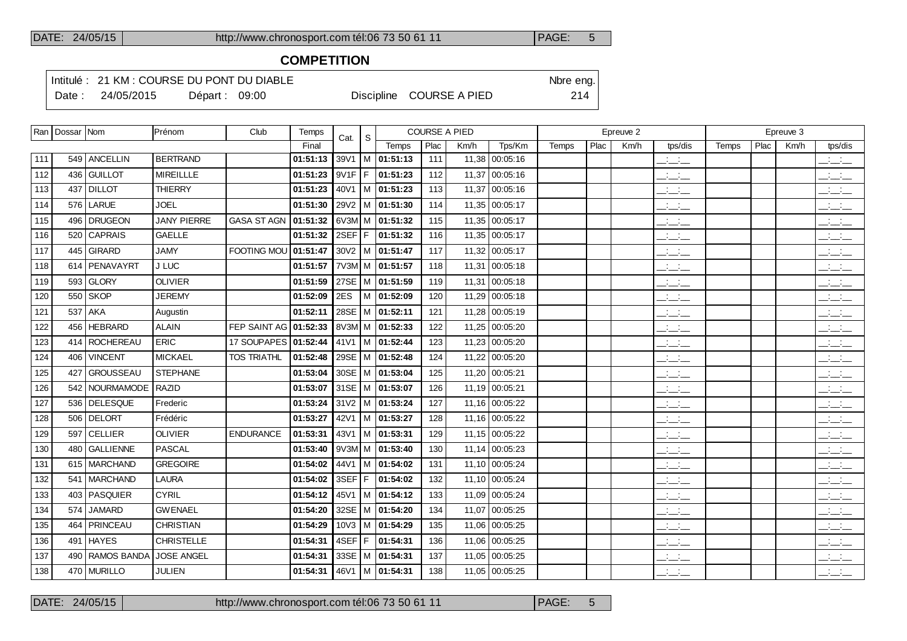## **COMPETITION**

Intitulé : 21 KM : COURSE DU PONT DU DIABLE Note that the state of the SN of the eng.

Date : 24/05/2015 Départ : 09:00 Discipline COURSE A PIED 214

|     | Ran   Dossar   Nom |                    | Prénom             | Club                   | Temps    | Cat.   | <sub>S</sub> |                             | <b>COURSE A PIED</b> |       |                |       |      | Epreuve 2 |                                 |       |      | Epreuve 3 |                                                       |
|-----|--------------------|--------------------|--------------------|------------------------|----------|--------|--------------|-----------------------------|----------------------|-------|----------------|-------|------|-----------|---------------------------------|-------|------|-----------|-------------------------------------------------------|
|     |                    |                    |                    |                        | Final    |        |              | Temps                       | Plac                 | Km/h  | Tps/Km         | Temps | Plac | Km/h      | tps/dis                         | Temps | Plac | Km/h      | tps/dis                                               |
| 111 |                    | 549 ANCELLIN       | <b>BERTRAND</b>    |                        | 01:51:13 | 39V1   |              | M 01:51:13                  | 111                  |       | 11,38 00:05:16 |       |      |           | $\frac{1}{2}$ and $\frac{1}{2}$ |       |      |           | $\frac{1}{2}$ $\frac{1}{2}$ $\frac{1}{2}$             |
| 112 | 436                | GUILLOT            | <b>MIREILLLE</b>   |                        | 01:51:23 | 9V1F   | l F.         | 01:51:23                    | 112                  |       | 11,37 00:05:16 |       |      |           | للمناصب                         |       |      |           | $\overline{\phantom{a}}$ and $\overline{\phantom{a}}$ |
| 113 | 437                | <b>DILLOT</b>      | <b>THIERRY</b>     |                        | 01:51:23 | 40V1   |              | M 01:51:23                  | 113                  |       | 11,37 00:05:16 |       |      |           | $\mathbb{Z}$ and $\mathbb{Z}$   |       |      |           | $\overline{\phantom{a}}$                              |
| 114 | 576                | LARUE              | <b>JOEL</b>        |                        | 01:51:30 |        |              | 29V2   M   01:51:30         | 114                  |       | 11,35 00:05:17 |       |      |           | $\frac{1}{2}$ and $\frac{1}{2}$ |       |      |           | $\overline{\phantom{a}}$                              |
| 115 | 496                | <b>DRUGEON</b>     | <b>JANY PIERRE</b> | <b>GASA ST AGN</b>     | 01:51:32 |        |              | $6V3M/M$ 01:51:32           | 115                  |       | 11,35 00:05:17 |       |      |           | $\frac{1}{2}$ and $\frac{1}{2}$ |       |      |           | $\overline{\phantom{a}}$                              |
| 116 | 520                | <b>CAPRAIS</b>     | <b>GAELLE</b>      |                        | 01:51:32 | 2SEF F |              | 01:51:32                    | 116                  |       | 11,35 00:05:17 |       |      |           | $\frac{1}{2}$ and $\frac{1}{2}$ |       |      |           | للأسائب                                               |
| 117 | 445                | <b>GIRARD</b>      | <b>JAMY</b>        | <b>FOOTING MOU</b>     | 01:51:47 |        |              | $30V2$ M $\vert$ 01:51:47   | 117                  |       | 11,32 00:05:17 |       |      |           | $\frac{1}{2}$                   |       |      |           | $\overline{\phantom{a}}$                              |
| 118 | 614                | PENAVAYRT          | J LUC              |                        | 01:51:57 |        |              | 7V3M M 01:51:57             | 118                  | 11,31 | 00:05:18       |       |      |           | للمناصب                         |       |      |           | $\overline{\phantom{a}}$                              |
| 119 | 593                | <b>GLORY</b>       | <b>OLIVIER</b>     |                        | 01:51:59 |        |              | 27SE   M   01:51:59         | 119                  |       | 11,31 00:05:18 |       |      |           | $\frac{1}{2}$ and $\frac{1}{2}$ |       |      |           | $\overline{\phantom{a}}$                              |
| 120 | 550                | <b>SKOP</b>        | <b>JEREMY</b>      |                        | 01:52:09 | 2ES    |              | M 01:52:09                  | 120                  |       | 11,29 00:05:18 |       |      |           | $\overline{\phantom{a}}$        |       |      |           | $\overline{\phantom{a}}$                              |
| 121 | 537                | <b>AKA</b>         | Augustin           |                        | 01:52:11 |        |              | 28SE M 01:52:11             | 121                  |       | 11,28 00:05:19 |       |      |           | $\frac{1}{2}$ and $\frac{1}{2}$ |       |      |           | $\overline{\phantom{a}}$                              |
| 122 | 456                | <b>HEBRARD</b>     | <b>ALAIN</b>       | FEP SAINT AG           | 01:52:33 |        |              | 8V3M M $ 01:52:33$          | 122                  |       | 11,25 00:05:20 |       |      |           | $\overline{\phantom{a}}$        |       |      |           | $  -$                                                 |
| 123 | 414                | <b>ROCHEREAU</b>   | ERIC               | 17 SOUPAPES   01:52:44 |          |        |              | 41V1   M   01:52:44         | 123                  |       | 11,23 00:05:20 |       |      |           | $ -$                            |       |      |           | $\overline{\phantom{a}}$                              |
| 124 | 406                | <b>VINCENT</b>     | <b>MICKAEL</b>     | <b>TOS TRIATHL</b>     | 01:52:48 |        |              | 29SE   M   01:52:48         | 124                  |       | 11,22 00:05:20 |       |      |           | $\overline{\phantom{a}}$        |       |      |           | $  -$                                                 |
| 125 | 427                | <b>GROUSSEAU</b>   | <b>STEPHANE</b>    |                        | 01:53:04 |        |              | 30SE   M   01:53:04         | 125                  |       | 11,20 00:05:21 |       |      |           | $ -$                            |       |      |           | $\frac{1}{2}$ $\frac{1}{2}$ $\frac{1}{2}$             |
| 126 |                    | 542 NOURMAMODE     | RAZID              |                        | 01:53:07 |        |              | 31SE   M   01:53:07         | 126                  |       | 11,19 00:05:21 |       |      |           | $ -$                            |       |      |           | $\overline{\phantom{a}}$ and $\overline{\phantom{a}}$ |
| 127 |                    | 536 DELESQUE       | Frederic           |                        | 01:53:24 |        |              | $31V2$ M 01:53:24           | 127                  |       | 11,16 00:05:22 |       |      |           | $ -$                            |       |      |           | $ -$                                                  |
| 128 |                    | 506   DELORT       | Frédéric           |                        | 01:53:27 | 42V1   |              | M 01:53:27                  | 128                  |       | 11,16 00:05:22 |       |      |           | $\mathbb{Z}$ and $\mathbb{Z}$   |       |      |           | $\overline{\phantom{a}}$                              |
| 129 | 597                | <b>CELLIER</b>     | <b>OLIVIER</b>     | <b>ENDURANCE</b>       | 01:53:31 | 43V1   |              | M 01:53:31                  | 129                  |       | 11,15 00:05:22 |       |      |           | $\frac{1}{2}$ and $\frac{1}{2}$ |       |      |           | $\overline{\phantom{a}}$                              |
| 130 |                    | 480 GALLIENNE      | <b>PASCAL</b>      |                        | 01:53:40 |        |              | $9V3M/M$ 01:53:40           | 130                  |       | 11,14 00:05:23 |       |      |           | $\overline{\phantom{a}}$        |       |      |           | $\overline{\phantom{a}}$ $\overline{\phantom{a}}$     |
| 131 | 615                | <b>MARCHAND</b>    | <b>GREGOIRE</b>    |                        | 01:54:02 | 44V1   |              | $\vert$ M $\vert$ 01:54:02  | 131                  |       | 11,10 00:05:24 |       |      |           | $\frac{1}{2}$ and $\frac{1}{2}$ |       |      |           | $\overline{\phantom{a}}$ $\overline{\phantom{a}}$     |
| 132 | 541                | MARCHAND           | <b>LAURA</b>       |                        | 01:54:02 | 3SEF F |              | 01:54:02                    | 132                  |       | 11,10 00:05:24 |       |      |           | $\mathbb{Z}$ and $\mathbb{Z}$   |       |      |           | بالبائب                                               |
| 133 | 403                | <b>PASQUIER</b>    | <b>CYRIL</b>       |                        | 01:54:12 | 45V1   |              | M 01:54:12                  | 133                  |       | 11.09 00:05:24 |       |      |           | $\frac{1}{2}$ and $\frac{1}{2}$ |       |      |           | $\overline{\phantom{a}}$ $\overline{\phantom{a}}$     |
| 134 | 574                | <b>JAMARD</b>      | <b>GWENAEL</b>     |                        | 01:54:20 |        |              | 32SE   M   01:54:20         | 134                  |       | 11,07 00:05:25 |       |      |           | $\frac{1}{2}$ and $\frac{1}{2}$ |       |      |           | بالبياني                                              |
| 135 | 464                | PRINCEAU           | <b>CHRISTIAN</b>   |                        | 01:54:29 |        |              | $10\sqrt{3}$   M   01:54:29 | 135                  |       | 11,06 00:05:25 |       |      |           | $\frac{1}{2}$ and $\frac{1}{2}$ |       |      |           | $\overline{\phantom{a}}$                              |
| 136 | 491                | <b>HAYES</b>       | <b>CHRISTELLE</b>  |                        | 01:54:31 | 4SEF F |              | 01:54:31                    | 136                  |       | 11,06 00:05:25 |       |      |           | $\frac{1}{2}$ and $\frac{1}{2}$ |       |      |           | $\overline{\phantom{a}}$                              |
| 137 | 490                | <b>RAMOS BANDA</b> | <b>JOSE ANGEL</b>  |                        | 01:54:31 |        |              | 33SE   M   01:54:31         | 137                  |       | 11,05 00:05:25 |       |      |           | $ -$                            |       |      |           | $\overline{\phantom{a}}$ and $\overline{\phantom{a}}$ |
| 138 |                    | 470 MURILLO        | <b>JULIEN</b>      |                        | 01:54:31 |        |              | 46V1   M   01:54:31         | 138                  |       | 11,05 00:05:25 |       |      |           | $\frac{1}{2}$ and $\frac{1}{2}$ |       |      |           | $  -$                                                 |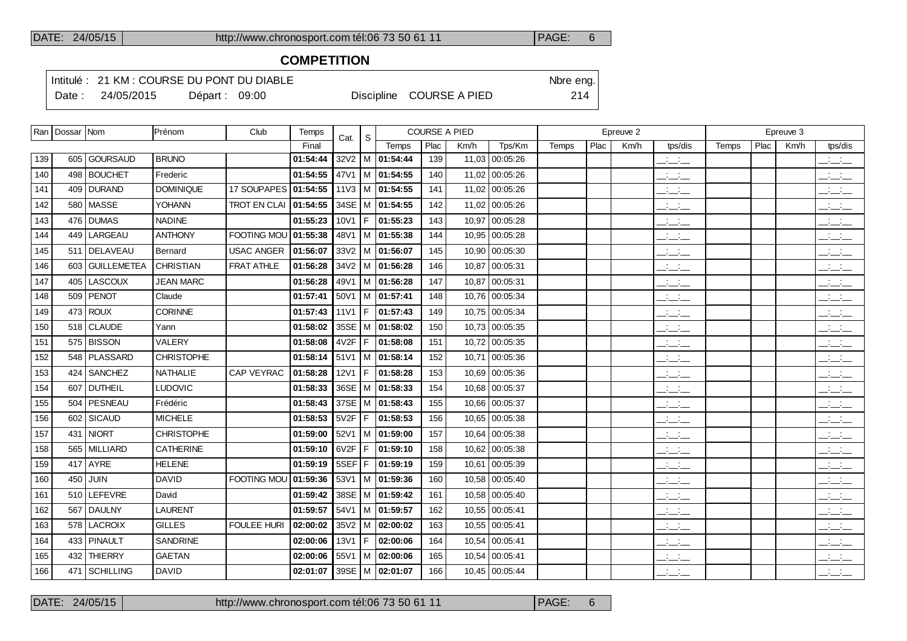## **COMPETITION**

Intitulé : 21 KM : COURSE DU PONT DU DIABLE Note that the state of the SN of the eng.

Date : 24/05/2015 Départ : 09:00 Discipline COURSE A PIED 214

|     | Ran   Dossar   Nom |                 | Prénom            | Club                | Temps    | Cat.        | -S   |                             |      | <b>COURSE A PIED</b> |                |       |      | Epreuve 2 |                                 |       |      | Epreuve 3 |                                                   |
|-----|--------------------|-----------------|-------------------|---------------------|----------|-------------|------|-----------------------------|------|----------------------|----------------|-------|------|-----------|---------------------------------|-------|------|-----------|---------------------------------------------------|
|     |                    |                 |                   |                     | Final    |             |      | Temps                       | Plac | Km/h                 | Tps/Km         | Temps | Plac | Km/h      | tps/dis                         | Temps | Plac | Km/h      | tps/dis                                           |
| 139 |                    | 605 GOURSAUD    | <b>BRUNO</b>      |                     | 01:54:44 |             |      | 32V2   M   01:54:44         | 139  |                      | 11,03 00:05:26 |       |      |           | $\frac{1}{2}$ and $\frac{1}{2}$ |       |      |           | $\frac{1}{2}$ and $\frac{1}{2}$                   |
| 140 |                    | 498   BOUCHET   | Frederic          |                     | 01:54:55 |             |      | 47V1 M 01:54:55             | 140  |                      | 11.02 00:05:26 |       |      |           | $\frac{1}{2}$ and $\frac{1}{2}$ |       |      |           | $  -$                                             |
| 141 |                    | 409 DURAND      | <b>DOMINIQUE</b>  | 17 SOUPAPES         | 01:54:55 |             |      | $11\sqrt{3}$   M   01:54:55 | 141  |                      | 11,02 00:05:26 |       |      |           | $\frac{1}{2}$ and $\frac{1}{2}$ |       |      |           | $ -$                                              |
| 142 | 580                | <b>MASSE</b>    | <b>YOHANN</b>     | <b>TROT EN CLAI</b> | 01:54:55 |             |      | 34SE   M   01:54:55         | 142  |                      | 11,02 00:05:26 |       |      |           | $ -$                            |       |      |           | $\frac{1}{2}$ $\frac{1}{2}$ $\frac{1}{2}$         |
| 143 |                    | 476 DUMAS       | <b>NADINE</b>     |                     | 01:55:23 | 10V1        | l F. | 01:55:23                    | 143  |                      | 10,97 00:05:28 |       |      |           | $\mathbb{Z}$ and $\mathbb{Z}$   |       |      |           | $\overline{\phantom{a}}$                          |
| 144 | 449                | LARGEAU         | <b>ANTHONY</b>    | <b>FOOTING MOU</b>  | 01:55:38 | 48V1        |      | M 01:55:38                  | 144  |                      | 10,95 00:05:28 |       |      |           | $\frac{1}{2}$ and $\frac{1}{2}$ |       |      |           | $ -$                                              |
| 145 |                    | 511   DELAVEAU  | Bernard           | USAC ANGER          | 01:56:07 |             |      | $33V2$   M   01:56:07       | 145  |                      | 10,90 00:05:30 |       |      |           | للأساس                          |       |      |           | <b>Contract</b><br>$  -$                          |
| 146 |                    | 603 GUILLEMETEA | CHRISTIAN         | FRAT ATHLE          | 01:56:28 | 34V2        |      | M 01:56:28                  | 146  |                      | 10,87 00:05:31 |       |      |           | للأساس                          |       |      |           | $\overline{\phantom{a}}$                          |
| 147 |                    | 405   LASCOUX   | <b>JEAN MARC</b>  |                     | 01:56:28 | 49V1        |      | M 01:56:28                  | 147  |                      | 10,87 00:05:31 |       |      |           | $  -$                           |       |      |           | $  -$                                             |
| 148 |                    | 509 PENOT       | Claude            |                     | 01:57:41 | 50V1        |      | M 01:57:41                  | 148  |                      | 10,76 00:05:34 |       |      |           | $\overline{\phantom{a}}$        |       |      |           | <b>Contract Contract</b><br>$  -$                 |
| 149 |                    | $473$ ROUX      | <b>CORINNE</b>    |                     | 01:57:43 | <b>11V1</b> | F.   | 01:57:43                    | 149  |                      | 10.75 00:05:34 |       |      |           | $\frac{1}{2}$ and $\frac{1}{2}$ |       |      |           | $\frac{1}{2}$ $\frac{1}{2}$ $\frac{1}{2}$         |
| 150 |                    | 518 CLAUDE      | Yann              |                     | 01:58:02 | 35SE        |      | M 01:58:02                  | 150  |                      | 10,73 00:05:35 |       |      |           | $ -$                            |       |      |           | $\overline{\phantom{a}}$                          |
| 151 |                    | 575 BISSON      | <b>VALERY</b>     |                     | 01:58:08 | 4V2F        | l F. | 01:58:08                    | 151  |                      | 10.72 00:05:35 |       |      |           | $\frac{1}{2}$ and $\frac{1}{2}$ |       |      |           | $\overline{\phantom{a}}$                          |
| 152 |                    | 548   PLASSARD  | <b>CHRISTOPHE</b> |                     | 01:58:14 | 51V1        |      | M 01:58:14                  | 152  | 10.71                | 00:05:36       |       |      |           | $\mathbb{Z}$ and $\mathbb{Z}$   |       |      |           | $\mathbb{Z}$ and $\mathbb{Z}$                     |
| 153 |                    | 424 SANCHEZ     | <b>NATHALIE</b>   | <b>CAP VEYRAC</b>   | 01:58:28 | <b>12V1</b> | F    | 01:58:28                    | 153  |                      | 10,69 00:05:36 |       |      |           | $\frac{1}{2}$ and $\frac{1}{2}$ |       |      |           | $  -$                                             |
| 154 | 607                | <b>DUTHEIL</b>  | <b>LUDOVIC</b>    |                     | 01:58:33 | 36SE        |      | M   01:58:33                | 154  |                      | 10,68 00:05:37 |       |      |           | $ -$                            |       |      |           | $\mathbb{Z}$ and $\mathbb{Z}$                     |
| 155 | 504                | PESNEAU         | Frédéric          |                     | 01:58:43 |             |      | 37SE   M   01:58:43         | 155  |                      | 10,66 00:05:37 |       |      |           | $\overline{\phantom{a}}$        |       |      |           | $\overline{\phantom{a}}$                          |
| 156 |                    | 602 SICAUD      | <b>MICHELE</b>    |                     | 01:58:53 | 5V2F        | F    | 01:58:53                    | 156  |                      | 10,65 00:05:38 |       |      |           | $ -$                            |       |      |           | $\frac{1}{2}$ $\frac{1}{2}$ $\frac{1}{2}$         |
| 157 | 431                | NIORT           | <b>CHRISTOPHE</b> |                     | 01:59:00 | 52V1        |      | M 01:59:00                  | 157  |                      | 10,64 00:05:38 |       |      |           | $\overline{\phantom{a}}$        |       |      |           | $\mathbb{R}$ and $\mathbb{R}$                     |
| 158 | 565                | <b>MILLIARD</b> | <b>CATHERINE</b>  |                     | 01:59:10 | 6V2F        | F    | 01:59:10                    | 158  |                      | 10,62 00:05:38 |       |      |           | للأساس                          |       |      |           | $\overline{\phantom{a}}$ $\overline{\phantom{a}}$ |
| 159 |                    | $417$ AYRE      | <b>HELENE</b>     |                     | 01:59:19 | 5SEF        | F    | 01:59:19                    | 159  |                      | 10,61 00:05:39 |       |      |           | $\frac{1}{2}$ and $\frac{1}{2}$ |       |      |           | $\frac{1}{2}$ $\frac{1}{2}$ $\frac{1}{2}$         |
| 160 |                    | 450 JUIN        | <b>DAVID</b>      | <b>FOOTING MOU</b>  | 01:59:36 |             |      | 53V1   M $ 01:59:36$        | 160  |                      | 10.58 00:05:40 |       |      |           | $ -$                            |       |      |           | $\overline{\phantom{a}}$                          |
| 161 |                    | 510 LEFEVRE     | David             |                     | 01:59:42 | 38SE        |      | M 01:59:42                  | 161  |                      | 10,58 00:05:40 |       |      |           | $  -$                           |       |      |           | $\frac{1}{2}$ and $\frac{1}{2}$                   |
| 162 | 567                | DAULNY          | <b>LAURENT</b>    |                     | 01:59:57 | 54V1        |      | M   01:59:57                | 162  |                      | 10,55 00:05:41 |       |      |           | $  -$                           |       |      |           | $\frac{1}{2}$ $\frac{1}{2}$ $\frac{1}{2}$         |
| 163 |                    | 578   LACROIX   | <b>GILLES</b>     | <b>FOULEE HURI</b>  | 02:00:02 | $35V2$ M    |      | 02:00:02                    | 163  |                      | 10,55 00:05:41 |       |      |           | $\frac{1}{2}$ and $\frac{1}{2}$ |       |      |           | $\overline{\phantom{a}}$                          |
| 164 |                    | 433   PINAULT   | SANDRINE          |                     | 02:00:06 | <b>13V1</b> | l F. | 02:00:06                    | 164  |                      | 10,54 00:05:41 |       |      |           | للمنافث                         |       |      |           | $ -$                                              |
| 165 | 432                | <b>THIERRY</b>  | <b>GAETAN</b>     |                     | 02:00:06 | 55V1        | l M  | 02:00:06                    | 165  | 10,54                | 00:05:41       |       |      |           | $ -$                            |       |      |           | $\frac{1}{2}$ and $\frac{1}{2}$                   |
| 166 |                    | 471   SCHILLING | <b>DAVID</b>      |                     | 02:01:07 |             |      | 39SE   M   02:01:07         | 166  |                      | 10,45 00:05:44 |       |      |           | <b>Contract</b><br>$  -$        |       |      |           | <b>Contract Contract</b><br>$  -$                 |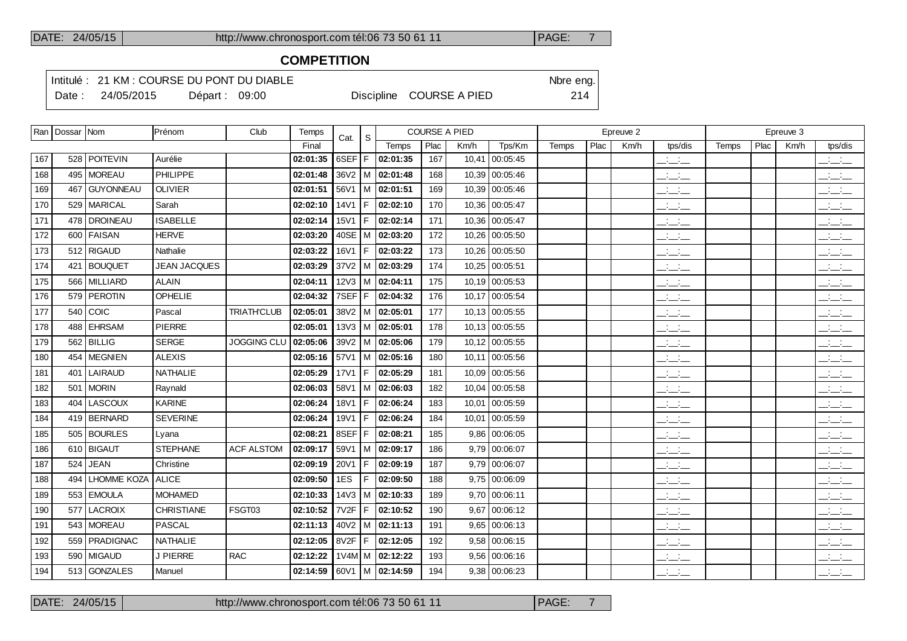#### **COMPETITION**

Intitulé : 21 KM : COURSE DU PONT DU DIABLE Note that the state of the SN of the eng.

Date : 24/05/2015 Départ : 09:00 Discipline COURSE A PIED 214

|     | Ran   Dossar   Nom |                    | Prénom              | Club               | Temps    | Cat.        | S   |                             | <b>COURSE A PIED</b> |      |                 |       |      | Epreuve 2 |                                 |       |      | Epreuve 3 |                                                       |
|-----|--------------------|--------------------|---------------------|--------------------|----------|-------------|-----|-----------------------------|----------------------|------|-----------------|-------|------|-----------|---------------------------------|-------|------|-----------|-------------------------------------------------------|
|     |                    |                    |                     |                    | Final    |             |     | Temps                       | Plac                 | Km/h | Tps/Km          | Temps | Plac | Km/h      | tps/dis                         | Temps | Plac | Km/h      | tps/dis                                               |
| 167 |                    | 528 POITEVIN       | Aurélie             |                    | 02:01:35 | 6SEF        | F   | 02:01:35                    | 167                  |      | 10,41 00:05:45  |       |      |           | للمنافث                         |       |      |           | $\overline{\phantom{a}}$                              |
| 168 |                    | 495   MOREAU       | PHILIPPE            |                    | 02:01:48 | 36V2        |     | M 02:01:48                  | 168                  |      | 10,39 00:05:46  |       |      |           | $\frac{1}{2}$                   |       |      |           | $\frac{1}{2}$                                         |
| 169 |                    | 467 GUYONNEAU      | <b>OLIVIER</b>      |                    | 02:01:51 | 56V1        |     | M   02:01:51                | 169                  |      | 10,39 00:05:46  |       |      |           | $\mathcal{L} = \mathcal{L}$     |       |      |           | $ -$                                                  |
| 170 |                    | 529   MARICAL      | Sarah               |                    | 02:02:10 | 14V1        | F   | 02:02:10                    | 170                  |      | 10,36 00:05:47  |       |      |           | $\overline{\phantom{a}}$        |       |      |           | للأسائب                                               |
| 171 |                    | 478   DROINEAU     | <b>ISABELLE</b>     |                    | 02:02:14 | 15V1        | F   | 02:02:14                    | 171                  |      | 10,36 00:05:47  |       |      |           | للأساس                          |       |      |           | $\overline{\phantom{a}}$                              |
| 172 |                    | 600 FAISAN         | <b>HERVE</b>        |                    | 02:03:20 | 40SE        | l M | 02:03:20                    | 172                  |      | 10,26 00:05:50  |       |      |           | $\overline{\phantom{a}}$        |       |      |           | <b>Contract</b><br>$  -$                              |
| 173 |                    | 512 RIGAUD         | Nathalie            |                    | 02:03:22 | 16V1        | F   | 02:03:22                    | 173                  |      | 10,26 00:05:50  |       |      |           | $\overline{a}$                  |       |      |           | $\overline{\phantom{a}}$                              |
| 174 |                    | 421   BOUQUET      | <b>JEAN JACQUES</b> |                    | 02:03:29 | 37V2        |     | M   02:03:29                | 174                  |      | 10,25 00:05:51  |       |      |           | $\overline{\phantom{a}}$        |       |      |           | $\overline{\phantom{a}}$                              |
| 175 |                    | 566 MILLIARD       | <b>ALAIN</b>        |                    | 02:04:11 |             |     | 12V3   M   02:04:11         | 175                  |      | 10,19 00:05:53  |       |      |           | $\mathbb{Z}$ and $\mathbb{Z}$   |       |      |           | $\overline{\phantom{a}}$                              |
| 176 |                    | 579 PEROTIN        | OPHELIE             |                    | 02:04:32 | 7SEF        | F   | 02:04:32                    | 176                  |      | 10,17 00:05:54  |       |      |           | سأساب                           |       |      |           | بالأسائب                                              |
| 177 | 540                | <b>COIC</b>        | Pascal              | <b>TRIATH'CLUB</b> | 02:05:01 |             |     | 38V2   M   02:05:01         | 177                  |      | 10,13 00:05:55  |       |      |           | $\frac{1}{2}$                   |       |      |           | $\overline{\phantom{a}}$                              |
| 178 | 488                | <b>EHRSAM</b>      | <b>PIERRE</b>       |                    | 02:05:01 |             |     | $13\sqrt{3}$   M   02:05:01 | 178                  |      | 10,13 00:05:55  |       |      |           | $ -$                            |       |      |           | $\overline{\phantom{a}}$                              |
| 179 |                    | 562 BILLIG         | <b>SERGE</b>        | <b>JOGGING CLU</b> | 02:05:06 | 39V2        |     | M 02:05:06                  | 179                  |      | 10,12 00:05:55  |       |      |           | سأساب                           |       |      |           | بالأسائب                                              |
| 180 |                    | 454   MEGNIEN      | <b>ALEXIS</b>       |                    | 02:05:16 |             |     | 57V1   M   02:05:16         | 180                  |      | 10.11 00:05:56  |       |      |           | للأسائد                         |       |      |           | $\overline{\phantom{a}}$ $\overline{\phantom{a}}$     |
| 181 | 401                | LAIRAUD            | NATHALIE            |                    | 02:05:29 | <b>17V1</b> | F   | 02:05:29                    | 181                  |      | 10.09 00:05:56  |       |      |           | $\mathcal{L} = \mathcal{L}$     |       |      |           | $\overline{\phantom{a}}$                              |
| 182 |                    | 501   MORIN        | Raynald             |                    | 02:06:03 | 58V1        |     | M 02:06:03                  | 182                  |      | 10,04 00:05:58  |       |      |           | $\overline{\phantom{a}}$        |       |      |           | $\overline{\phantom{a}}$ $\overline{\phantom{a}}$     |
| 183 | 404                | <b>LASCOUX</b>     | <b>KARINE</b>       |                    | 02:06:24 | <b>18V1</b> |     | 02:06:24                    | 183                  |      | 10,01 00:05:59  |       |      |           | $\overline{\phantom{a}}$        |       |      |           | $\overline{\phantom{a}}$                              |
| 184 |                    | 419   BERNARD      | <b>SEVERINE</b>     |                    | 02:06:24 | 19V1        | F   | 02:06:24                    | 184                  |      | 10,01 00:05:59  |       |      |           | $\overline{\phantom{a}}$        |       |      |           | $\overline{\phantom{a}}$ $\overline{\phantom{a}}$     |
| 185 |                    | 505 BOURLES        | Lyana               |                    | 02:08:21 | 8SEF        | F   | 02:08:21                    | 185                  |      | $9,86$ 00:06:05 |       |      |           | $\overline{\phantom{a}}$        |       |      |           | $\overline{\phantom{a}}$                              |
| 186 |                    | 610 BIGAUT         | <b>STEPHANE</b>     | <b>ACF ALSTOM</b>  | 02:09:17 | 59V1        |     | M   02:09:17                | 186                  |      | $9.79$ 00:06:07 |       |      |           | $\mathcal{L} = \mathcal{L}$     |       |      |           | $\overline{\phantom{a}}$ and $\overline{\phantom{a}}$ |
| 187 | 524                | <b>JEAN</b>        | Christine           |                    | 02:09:19 | 20V1        |     | 02:09:19                    | 187                  |      | $9,79$ 00:06:07 |       |      |           | $\overline{\phantom{a}}$        |       |      |           | $\overline{\phantom{a}}$                              |
| 188 | 494                | LHOMME KOZA LALICE |                     |                    | 02:09:50 | 1ES         | F   | 02:09:50                    | 188                  |      | $9,75$ 00:06:09 |       |      |           | $\overline{\phantom{a}}$        |       |      |           | $\overline{\phantom{a}}$ $\overline{\phantom{a}}$     |
| 189 |                    | 553 EMOULA         | <b>MOHAMED</b>      |                    | 02:10:33 | 14V3        | м   | 02:10:33                    | 189                  |      | $9,70$ 00:06:11 |       |      |           | $\overline{\phantom{a}}$        |       |      |           | $\frac{1}{2}$ and $\frac{1}{2}$                       |
| 190 | 577                | LACROIX            | <b>CHRISTIANE</b>   | FSGT03             | 02:10:52 | 7V2F        | F   | 02:10:52                    | 190                  |      | $9,67$ 00:06:12 |       |      |           | $\frac{1}{2}$ and $\frac{1}{2}$ |       |      |           | $\frac{1}{2}$ and $\frac{1}{2}$                       |
| 191 |                    | 543   MOREAU       | <b>PASCAL</b>       |                    | 02:11:13 | 40V2        |     | M   02:11:13                | 191                  |      | $9,65$ 00:06:13 |       |      |           | $\mathcal{L} = \mathcal{L}$     |       |      |           | $ -$                                                  |
| 192 |                    | 559   PRADIGNAC    | <b>NATHALIE</b>     |                    | 02:12:05 | 8V2F        | F   | 02:12:05                    | 192                  |      | $9,58$ 00:06:15 |       |      |           | <b>Contract</b><br>$  -$        |       |      |           | للأسائل                                               |
| 193 |                    | 590   MIGAUD       | <b>J PIERRE</b>     | <b>RAC</b>         | 02:12:22 |             |     | 1V4M M 02:12:22             | 193                  |      | $9,56$ 00:06:16 |       |      |           | $\overline{\phantom{a}}$        |       |      |           | <b>Contract Contract</b>                              |
| 194 |                    | 513 GONZALES       | Manuel              |                    | 02:14:59 |             |     | 60∨1   M <b>  02:14:59</b>  | 194                  |      | $9,38$ 00:06:23 |       |      |           | $ -$                            |       |      |           | للأسائل                                               |